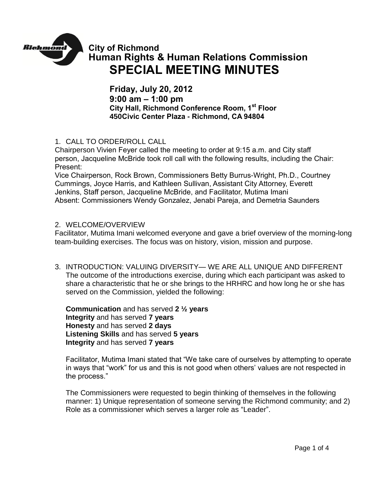

**City of Richmond Human Rights & Human Relations Commission SPECIAL MEETING MINUTES**

**Friday, July 20, 2012 9:00 am – 1:00 pm City Hall, Richmond Conference Room, 1st Floor 450Civic Center Plaza - Richmond, CA 94804**

1. CALL TO ORDER/ROLL CALL

Chairperson Vivien Feyer called the meeting to order at 9:15 a.m. and City staff person, Jacqueline McBride took roll call with the following results, including the Chair: Present:

Vice Chairperson, Rock Brown, Commissioners Betty Burrus-Wright, Ph.D., Courtney Cummings, Joyce Harris, and Kathleen Sullivan, Assistant City Attorney, Everett Jenkins, Staff person, Jacqueline McBride, and Facilitator, Mutima Imani Absent: Commissioners Wendy Gonzalez, Jenabi Pareja, and Demetria Saunders

## 2. WELCOME/OVERVIEW

Facilitator, Mutima Imani welcomed everyone and gave a brief overview of the morning-long team-building exercises. The focus was on history, vision, mission and purpose.

3. INTRODUCTION: VALUING DIVERSITY— WE ARE ALL UNIQUE AND DIFFERENT The outcome of the introductions exercise, during which each participant was asked to share a characteristic that he or she brings to the HRHRC and how long he or she has served on the Commission, yielded the following:

**Communication** and has served **2 ½ years Integrity** and has served **7 years Honesty** and has served **2 days Listening Skills** and has served **5 years Integrity** and has served **7 years**

Facilitator, Mutima Imani stated that "We take care of ourselves by attempting to operate in ways that "work" for us and this is not good when others' values are not respected in the process."

The Commissioners were requested to begin thinking of themselves in the following manner: 1) Unique representation of someone serving the Richmond community; and 2) Role as a commissioner which serves a larger role as "Leader".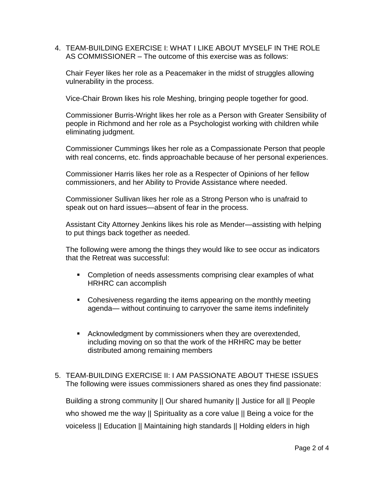4. TEAM-BUILDING EXERCISE I: WHAT I LIKE ABOUT MYSELF IN THE ROLE AS COMMISSIONER – The outcome of this exercise was as follows:

Chair Feyer likes her role as a Peacemaker in the midst of struggles allowing vulnerability in the process.

Vice-Chair Brown likes his role Meshing, bringing people together for good.

Commissioner Burris-Wright likes her role as a Person with Greater Sensibility of people in Richmond and her role as a Psychologist working with children while eliminating judgment.

Commissioner Cummings likes her role as a Compassionate Person that people with real concerns, etc. finds approachable because of her personal experiences.

Commissioner Harris likes her role as a Respecter of Opinions of her fellow commissioners, and her Ability to Provide Assistance where needed.

Commissioner Sullivan likes her role as a Strong Person who is unafraid to speak out on hard issues—absent of fear in the process.

Assistant City Attorney Jenkins likes his role as Mender—assisting with helping to put things back together as needed.

The following were among the things they would like to see occur as indicators that the Retreat was successful:

- Completion of needs assessments comprising clear examples of what HRHRC can accomplish
- Cohesiveness regarding the items appearing on the monthly meeting agenda— without continuing to carryover the same items indefinitely
- Acknowledgment by commissioners when they are overextended, including moving on so that the work of the HRHRC may be better distributed among remaining members
- 5. TEAM-BUILDING EXERCISE II: I AM PASSIONATE ABOUT THESE ISSUES The following were issues commissioners shared as ones they find passionate:

Building a strong community || Our shared humanity || Justice for all || People who showed me the way || Spirituality as a core value || Being a voice for the voiceless || Education || Maintaining high standards || Holding elders in high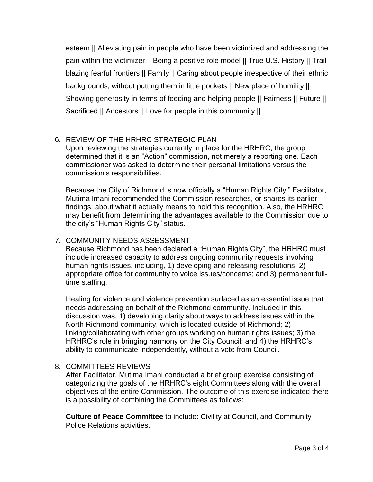esteem || Alleviating pain in people who have been victimized and addressing the pain within the victimizer || Being a positive role model || True U.S. History || Trail blazing fearful frontiers || Family || Caring about people irrespective of their ethnic backgrounds, without putting them in little pockets || New place of humility || Showing generosity in terms of feeding and helping people || Fairness || Future || Sacrificed || Ancestors || Love for people in this community ||

# 6. REVIEW OF THE HRHRC STRATEGIC PLAN

Upon reviewing the strategies currently in place for the HRHRC, the group determined that it is an "Action" commission, not merely a reporting one. Each commissioner was asked to determine their personal limitations versus the commission's responsibilities.

Because the City of Richmond is now officially a "Human Rights City," Facilitator, Mutima Imani recommended the Commission researches, or shares its earlier findings, about what it actually means to hold this recognition. Also, the HRHRC may benefit from determining the advantages available to the Commission due to the city's "Human Rights City" status.

# 7. COMMUNITY NEEDS ASSESSMENT

Because Richmond has been declared a "Human Rights City", the HRHRC must include increased capacity to address ongoing community requests involving human rights issues, including, 1) developing and releasing resolutions; 2) appropriate office for community to voice issues/concerns; and 3) permanent fulltime staffing.

Healing for violence and violence prevention surfaced as an essential issue that needs addressing on behalf of the Richmond community. Included in this discussion was, 1) developing clarity about ways to address issues within the North Richmond community, which is located outside of Richmond; 2) linking/collaborating with other groups working on human rights issues; 3) the HRHRC's role in bringing harmony on the City Council; and 4) the HRHRC's ability to communicate independently, without a vote from Council.

## 8. COMMITTEES REVIEWS

After Facilitator, Mutima Imani conducted a brief group exercise consisting of categorizing the goals of the HRHRC's eight Committees along with the overall objectives of the entire Commission. The outcome of this exercise indicated there is a possibility of combining the Committees as follows:

**Culture of Peace Committee** to include: Civility at Council, and Community-Police Relations activities.